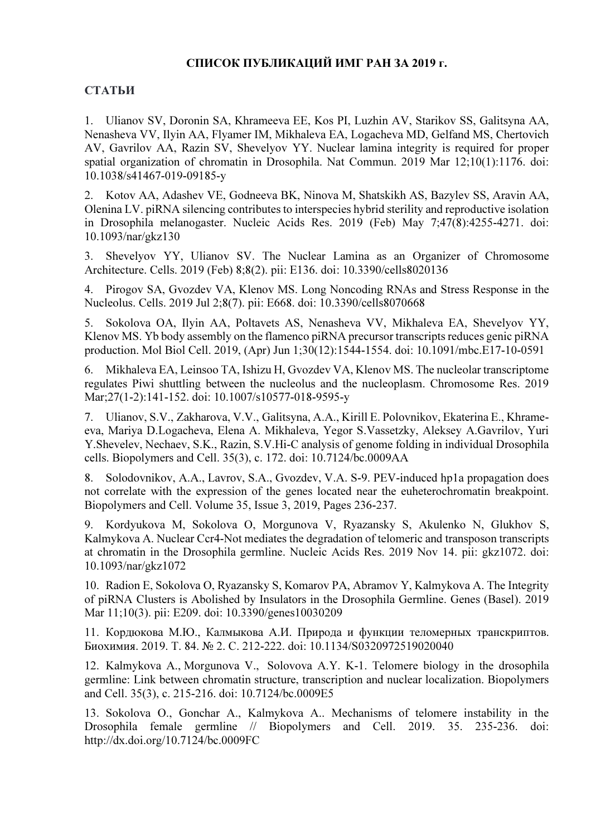## СПИСОК ПУБЛИКАЦИЙ ИМГ РАН ЗА 2019 г.

## СТАТЬИ

1. Ulianov SV, Doronin SA, Khrameeva EE, Kos PI, Luzhin AV, Starikov SS, Galitsyna AA, Nenasheva VV, Ilyin AA, Flyamer IM, Mikhaleva EA, Logacheva MD, Gelfand MS, Chertovich AV, Gavrilov AA, Razin SV, Shevelyov YY. Nuclear lamina integrity is required for proper spatial organization of chromatin in Drosophila. Nat Commun. 2019 Mar 12;10(1):1176. doi: 10.1038/s41467-019-09185-y

2. Kotov AA, Adashev VE, Godneeva BK, Ninova M, Shatskikh AS, Bazylev SS, Aravin AA, Olenina LV. piRNA silencing contributes to interspecies hybrid sterility and reproductive isolation in Drosophila melanogaster. Nucleic Acids Res. 2019 (Feb) May 7;47(8):4255-4271. doi: 10.1093/nar/gkz130

3. Shevelyov YY, Ulianov SV. The Nuclear Lamina as an Organizer of Chromosome Architecture. Cells. 2019 (Feb) 8;8(2). pii: E136. doi: 10.3390/cells8020136

4. Pirogov SA, Gvozdev VA, Klenov MS. Long Noncoding RNAs and Stress Response in the Nucleolus. Cells. 2019 Jul 2;8(7). pii: E668. doi: 10.3390/cells8070668

5. Sokolova OA, Ilyin AA, Poltavets AS, Nenasheva VV, Mikhaleva EA, Shevelyov YY, Klenov MS. Yb body assembly on the flamenco piRNA precursor transcripts reduces genic piRNA production. Mol Biol Cell. 2019, (Apr) Jun 1;30(12):1544-1554. doi: 10.1091/mbc.E17-10-0591

6. Mikhaleva EA, Leinsoo TA, Ishizu H, Gvozdev VA, Klenov MS. The nucleolar transcriptome regulates Piwi shuttling between the nucleolus and the nucleoplasm. Chromosome Res. 2019 Mar;27(1-2):141-152. doi: 10.1007/s10577-018-9595-y

7. Ulianov, S.V., Zakharova, V.V., Galitsyna, A.A., Kirill E. Polovnikov, Ekaterina E., Khrameeva, Mariya D.Logacheva, Elena A. Mikhaleva, Yegor S.Vassetzky, Aleksey A.Gavrilov, Yuri Y.Shevelev, Nechaev, S.K., Razin, S.V.Hi-C analysis of genome folding in individual Drosophila cells. Biopolymers and Cell. 35(3), с. 172. doi: 10.7124/bc.0009AA

8. Solodovnikov, A.A., Lavrov, S.A., Gvozdev, V.A. S-9. PEV-induced hp1a propagation does not correlate with the expression of the genes located near the euheterochromatin breakpoint. Biopolymers and Cell. Volume 35, Issue 3, 2019, Pages 236-237.

9. Kordyukova M, Sokolova O, Morgunova V, Ryazansky S, Akulenko N, Glukhov S, Kalmykova A. Nuclear Ccr4-Not mediates the degradation of telomeric and transposon transcripts at chromatin in the Drosophila germline. Nucleic Acids Res. 2019 Nov 14. pii: gkz1072. doi: 10.1093/nar/gkz1072

10. Radion E, Sokolova O, Ryazansky S, Komarov PA, Abramov Y, Kalmykova A. The Integrity of piRNA Clusters is Abolished by Insulators in the Drosophila Germline. Genes (Basel). 2019 Mar 11;10(3). pii: E209. doi: 10.3390/genes10030209

11. Кордюкова М.Ю., Калмыкова А.И. Природа и функции теломерных транскриптов. Биохимия. 2019. Т. 84. № 2. С. 212-222. doi: 10.1134/S0320972519020040

12. Kalmykova A., Morgunova V., Solovova A.Y. K-1. Telomere biology in the drosophila germline: Link between chromatin structure, transcription and nuclear localization. Biopolymers and Cell. 35(3), с. 215-216. doi: 10.7124/bc.0009E5

13. Sokolova O., Gonchar A., Kalmykova A.. Mechanisms of telomere instability in the Drosophila female germline // Biopolymers and Cell. 2019. 35. 235-236. doi: http://dx.doi.org/10.7124/bc.0009FC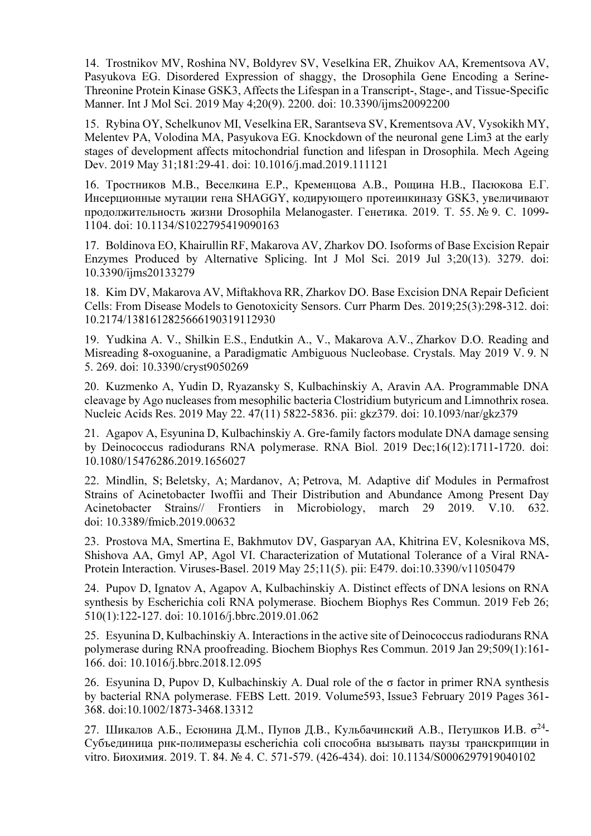14. Trostnikov MV, Roshina NV, Boldyrev SV, Veselkina ER, Zhuikov AA, Krementsova AV, Pasyukova EG. Disordered Expression of shaggy, the Drosophila Gene Encoding a Serine-Threonine Protein Kinase GSK3, Affects the Lifespan in a Transcript-, Stage-, and Tissue-Specific Manner. Int J Mol Sci. 2019 May 4;20(9). 2200. doi: 10.3390/ijms20092200

15. Rybina OY, Schelkunov MI, Veselkina ER, Sarantseva SV, Krementsova AV, Vysokikh MY, Melentev PA, Volodina MA, Pasyukova EG. Knockdown of the neuronal gene Lim3 at the early stages of development affects mitochondrial function and lifespan in Drosophila. Mech Ageing Dev. 2019 May 31;181:29-41. doi: 10.1016/j.mad.2019.111121

16. Тростников М.В., Веселкина Е.Р., Кременцова А.В., Рощина Н.В., Пасюкова Е.Г. Инсерционные мутации гена SHAGGY, кодирующего протеинкиназу GSK3, увеличивают продолжительность жизни Drosophila Melanogaster. Генетика. 2019. Т. 55. № 9. С. 1099- 1104. doi: 10.1134/S1022795419090163

17. Boldinova EO, Khairullin RF, Makarova AV, Zharkov DO. Isoforms of Base Excision Repair Enzymes Produced by Alternative Splicing. Int J Mol Sci. 2019 Jul 3;20(13). 3279. doi: 10.3390/ijms20133279

18. Kim DV, Makarova AV, Miftakhova RR, Zharkov DO. Base Excision DNA Repair Deficient Cells: From Disease Models to Genotoxicity Sensors. Curr Pharm Des. 2019;25(3):298-312. doi: 10.2174/1381612825666190319112930

19. Yudkina A. V., Shilkin E.S., Endutkin A., V., Makarova A.V., Zharkov D.O. Reading and Misreading 8-oxoguanine, a Paradigmatic Ambiguous Nucleobase. Crystals. May 2019 V. 9. N 5. 269. doi: 10.3390/cryst9050269

20. Kuzmenko A, Yudin D, Ryazansky S, Kulbachinskiy A, Aravin AA. Programmable DNA cleavage by Ago nucleases from mesophilic bacteria Clostridium butyricum and Limnothrix rosea. Nucleic Acids Res. 2019 May 22. 47(11) 5822-5836. pii: gkz379. doi: 10.1093/nar/gkz379

21. Agapov A, Esyunina D, Kulbachinskiy A. Gre-family factors modulate DNA damage sensing by Deinococcus radiodurans RNA polymerase. RNA Biol. 2019 Dec;16(12):1711-1720. doi: 10.1080/15476286.2019.1656027

22. Mindlin, S; Beletsky, A; Mardanov, A; Petrova, M. Adaptive dif Modules in Permafrost Strains of Acinetobacter Iwoffii and Their Distribution and Abundance Among Present Day Acinetobacter Strains// Frontiers in Microbiology, march 29 2019. V.10. 632. doi: 10.3389/fmicb.2019.00632

23. Prostova MA, Smertina E, Bakhmutov DV, Gasparyan AA, Khitrina EV, Kolesnikova MS, Shishova AA, Gmyl AP, Agol VI. Characterization of Mutational Tolerance of a Viral RNA-Protein Interaction. Viruses-Basel. 2019 May 25;11(5). pii: E479. doi:10.3390/v11050479

24. Pupov D, Ignatov A, Agapov A, Kulbachinskiy A. Distinct effects of DNA lesions on RNA synthesis by Escherichia coli RNA polymerase. Biochem Biophys Res Commun. 2019 Feb 26; 510(1):122-127. doi: 10.1016/j.bbrc.2019.01.062

25. Esyunina D, Kulbachinskiy A. Interactions in the active site of Deinococcus radiodurans RNA polymerase during RNA proofreading. Biochem Biophys Res Commun. 2019 Jan 29;509(1):161- 166. doi: 10.1016/j.bbrc.2018.12.095

26. Esyunina D, Pupov D, Kulbachinskiy A. Dual role of the σ factor in primer RNA synthesis by bacterial RNA polymerase. FEBS Lett. 2019. Volume593, Issue3 February 2019 Pages 361- 368. doi:10.1002/1873-3468.13312

27. Шикалов А.Б., Есюнина Д.М., Пупов Д.В., Кульбачинский А.В., Петушков И.В.  $\sigma^{24}$ -Субъединица рнк-полимеразы escherichia coli способна вызывать паузы транскрипции in vitro. Биохимия. 2019. Т. 84. № 4. С. 571-579. (426-434). doi: 10.1134/S0006297919040102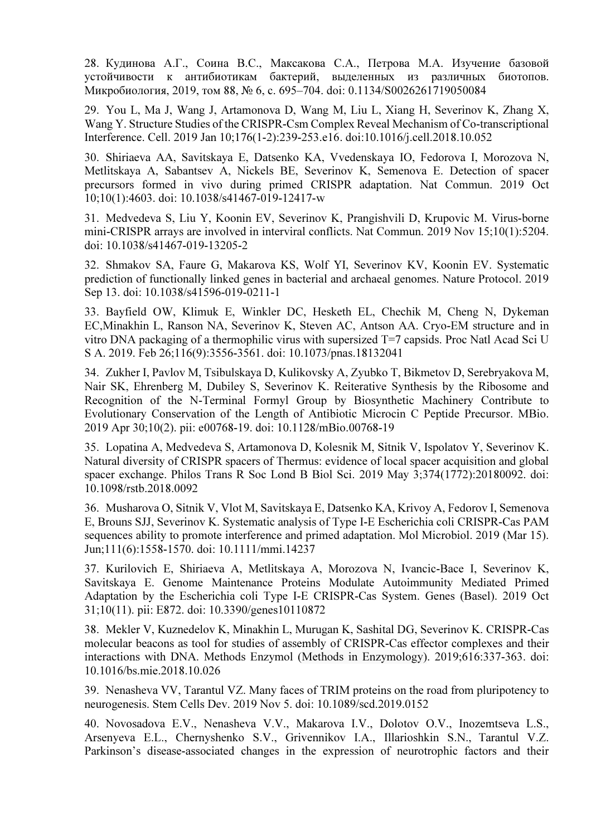28. Кудинова А.Г., Соина В.С., Максакова С.А., Петрова М.А. Изучение базовой устойчивости к антибиотикам бактерий, выделенных из различных биотопов. Микробиология, 2019, том 88, № 6, с. 695–704. doi: 0.1134/S0026261719050084

29. You L, Ma J, Wang J, Artamonova D, Wang M, Liu L, Xiang H, Severinov K, Zhang X, Wang Y. Structure Studies of the CRISPR-Csm Complex Reveal Mechanism of Co-transcriptional Interference. Cell. 2019 Jan 10;176(1-2):239-253.e16. doi:10.1016/j.cell.2018.10.052

30. Shiriaeva AA, Savitskaya E, Datsenko KA, Vvedenskaya IO, Fedorova I, Morozova N, Metlitskaya A, Sabantsev A, Nickels BE, Severinov K, Semenova E. Detection of spacer precursors formed in vivo during primed CRISPR adaptation. Nat Commun. 2019 Oct 10;10(1):4603. doi: 10.1038/s41467-019-12417-w

31. Medvedeva S, Liu Y, Koonin EV, Severinov K, Prangishvili D, Krupovic M. Virus-borne mini-CRISPR arrays are involved in interviral conflicts. Nat Commun. 2019 Nov 15;10(1):5204. doi: 10.1038/s41467-019-13205-2

32. Shmakov SA, Faure G, Makarova KS, Wolf YI, Severinov KV, Koonin EV. Systematic prediction of functionally linked genes in bacterial and archaeal genomes. Nature Protocol. 2019 Sep 13. doi: 10.1038/s41596-019-0211-1

33. Bayfield OW, Klimuk E, Winkler DC, Hesketh EL, Chechik M, Cheng N, Dykeman EC,Minakhin L, Ranson NA, Severinov K, Steven AC, Antson AA. Cryo-EM structure and in vitro DNA packaging of a thermophilic virus with supersized T=7 capsids. Proc Natl Acad Sci U S A. 2019. Feb 26;116(9):3556-3561. doi: 10.1073/pnas.18132041

34. Zukher I, Pavlov M, Tsibulskaya D, Kulikovsky A, Zyubko T, Bikmetov D, Serebryakova M, Nair SK, Ehrenberg M, Dubiley S, Severinov K. Reiterative Synthesis by the Ribosome and Recognition of the N-Terminal Formyl Group by Biosynthetic Machinery Contribute to Evolutionary Conservation of the Length of Antibiotic Microcin C Peptide Precursor. MBio. 2019 Apr 30;10(2). pii: e00768-19. doi: 10.1128/mBio.00768-19

35. Lopatina A, Medvedeva S, Artamonova D, Kolesnik M, Sitnik V, Ispolatov Y, Severinov K. Natural diversity of CRISPR spacers of Thermus: evidence of local spacer acquisition and global spacer exchange. Philos Trans R Soc Lond B Biol Sci. 2019 May 3;374(1772):20180092. doi: 10.1098/rstb.2018.0092

36. Musharova O, Sitnik V, Vlot M, Savitskaya E, Datsenko KA, Krivoy A, Fedorov I, Semenova E, Brouns SJJ, Severinov K. Systematic analysis of Type I-E Escherichia coli CRISPR-Cas PAM sequences ability to promote interference and primed adaptation. Mol Microbiol. 2019 (Mar 15). Jun;111(6):1558-1570. doi: 10.1111/mmi.14237

37. Kurilovich E, Shiriaeva A, Metlitskaya A, Morozova N, Ivancic-Bace I, Severinov K, Savitskaya E. Genome Maintenance Proteins Modulate Autoimmunity Mediated Primed Adaptation by the Escherichia coli Type I-E CRISPR-Cas System. Genes (Basel). 2019 Oct 31;10(11). pii: E872. doi: 10.3390/genes10110872

38. Mekler V, Kuznedelov K, Minakhin L, Murugan K, Sashital DG, Severinov K. CRISPR-Cas molecular beacons as tool for studies of assembly of CRISPR-Cas effector complexes and their interactions with DNA. Methods Enzymol (Methods in Enzymology). 2019;616:337-363. doi: 10.1016/bs.mie.2018.10.026

39. Nenasheva VV, Tarantul VZ. Many faces of TRIM proteins on the road from pluripotency to neurogenesis. Stem Cells Dev. 2019 Nov 5. doi: 10.1089/scd.2019.0152

40. Novosadova E.V., Nenasheva V.V., Makarova I.V., Dolotov O.V., Inozemtseva L.S., Arsenyeva E.L., Chernyshenko S.V., Grivennikov I.A., Illarioshkin S.N., Tarantul V.Z. Parkinson's disease-associated changes in the expression of neurotrophic factors and their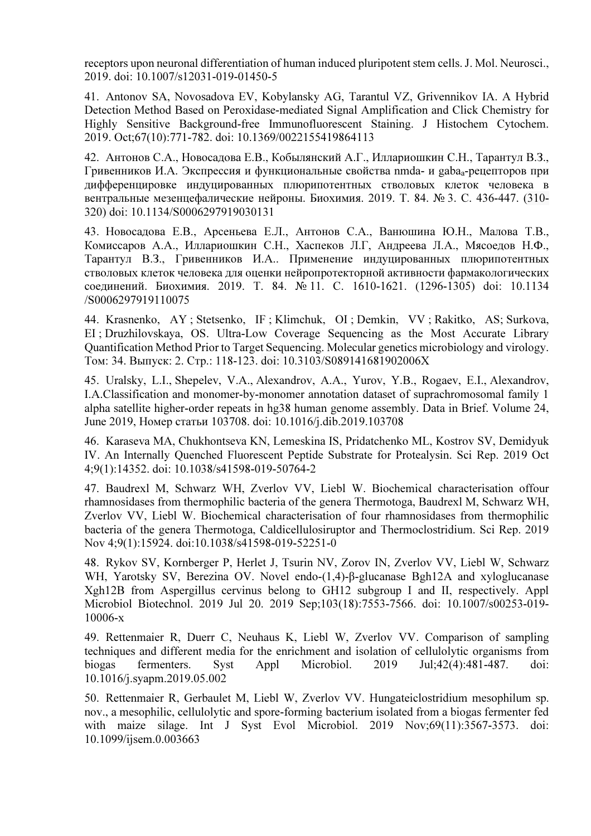receptors upon neuronal differentiation of human induced pluripotent stem cells. J. Mol. Neurosci., 2019. doi: 10.1007/s12031-019-01450-5

41. Antonov SA, Novosadova EV, Kobylansky AG, Tarantul VZ, Grivennikov IA. A Hybrid Detection Method Based on Peroxidase-mediated Signal Amplification and Click Chemistry for Highly Sensitive Background-free Immunofluorescent Staining. J Histochem Cytochem. 2019. Oct;67(10):771-782. doi: 10.1369/0022155419864113

42. Антонов С.А., Новосадова Е.В., Кобылянский А.Г., Иллариошкин С.Н., Тарантул В.З., Гривенников И.А. Экспрессия и функциональные свойства nmda- и gabaa-рецепторов при дифференцировке индуцированных плюрипотентных стволовых клеток человека в вентральные мезенцефалические нейроны. Биохимия. 2019. Т. 84. № 3. С. 436-447. (310- 320) doi: 10.1134/S0006297919030131

43. Новосадова Е.В., Арсеньева Е.Л., Антонов С.А., Ванюшина Ю.Н., Малова Т.В., Комиссаров А.А., Иллариошкин С.Н., Хаспеков Л.Г, Андреева Л.А., Мясоедов Н.Ф., Тарантул В.З., Гривенников И.А.. Применение индуцированных плюрипотентных стволовых клеток человека для оценки нейропротекторной активности фармакологических соединений. Биохимия. 2019. Т. 84. № 11. С. 1610-1621. (1296-1305) doi: 10.1134 /S0006297919110075

44. Krasnenko, AY ; Stetsenko, IF ; Klimchuk, OI ; Demkin, VV ; Rakitko, AS; Surkova, EI ; Druzhilovskaya, OS. Ultra-Low Coverage Sequencing as the Most Accurate Library Quantification Method Prior to Target Sequencing. Molecular genetics microbiology and virology. Том: 34. Выпуск: 2. Стр.: 118-123. doi: 10.3103/S089141681902006X

45. Uralsky, L.I., Shepelev, V.A., Alexandrov, A.A., Yurov, Y.B., Rogaev, E.I., Alexandrov, I.A.Classification and monomer-by-monomer annotation dataset of suprachromosomal family 1 alpha satellite higher-order repeats in hg38 human genome assembly. Data in Brief. Volume 24, June 2019, Номер статьи 103708. doi: 10.1016/j.dib.2019.103708

46. Karaseva MA, Chukhontseva KN, Lemeskina IS, Pridatchenko ML, Kostrov SV, Demidyuk IV. An Internally Quenched Fluorescent Peptide Substrate for Protealysin. Sci Rep. 2019 Oct 4;9(1):14352. doi: 10.1038/s41598-019-50764-2

47. Baudrexl M, Schwarz WH, Zverlov VV, Liebl W. Biochemical characterisation offour rhamnosidases from thermophilic bacteria of the genera Thermotoga, Baudrexl M, Schwarz WH, Zverlov VV, Liebl W. Biochemical characterisation of four rhamnosidases from thermophilic bacteria of the genera Thermotoga, Caldicellulosiruptor and Thermoclostridium. Sci Rep. 2019 Nov 4;9(1):15924. doi:10.1038/s41598-019-52251-0

48. Rykov SV, Kornberger P, Herlet J, Tsurin NV, Zorov IN, Zverlov VV, Liebl W, Schwarz WH, Yarotsky SV, Berezina OV. Novel endo-(1,4)-β-glucanase Bgh12A and xyloglucanase Xgh12B from Aspergillus cervinus belong to GH12 subgroup I and II, respectively. Appl Microbiol Biotechnol. 2019 Jul 20. 2019 Sep;103(18):7553-7566. doi: 10.1007/s00253-019- 10006-x

49. Rettenmaier R, Duerr C, Neuhaus K, Liebl W, Zverlov VV. Comparison of sampling techniques and different media for the enrichment and isolation of cellulolytic organisms from biogas fermenters. Syst Appl Microbiol. 2019 Jul;42(4):481-487. doi: 10.1016/j.syapm.2019.05.002

50. Rettenmaier R, Gerbaulet M, Liebl W, Zverlov VV. Hungateiclostridium mesophilum sp. nov., a mesophilic, cellulolytic and spore-forming bacterium isolated from a biogas fermenter fed with maize silage. Int J Syst Evol Microbiol. 2019 Nov;69(11):3567-3573. doi: 10.1099/ijsem.0.003663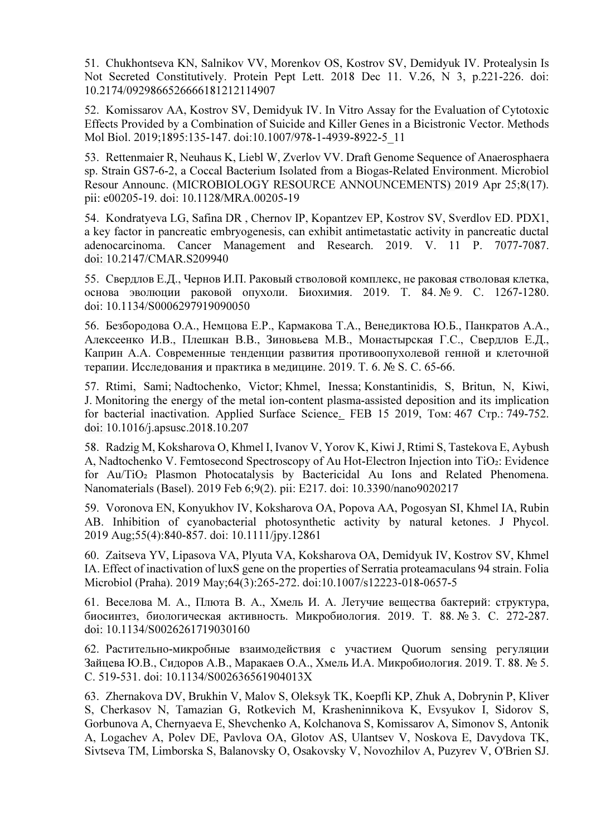51. Chukhontseva KN, Salnikov VV, Morenkov OS, Kostrov SV, Demidyuk IV. Protealysin Is Not Secreted Constitutively. Protein Pept Lett. 2018 Dec 11. V.26, N 3, p.221-226. doi: 10.2174/0929866526666181212114907

52. Komissarov AA, Kostrov SV, Demidyuk IV. In Vitro Assay for the Evaluation of Cytotoxic Effects Provided by a Combination of Suicide and Killer Genes in a Bicistronic Vector. Methods Mol Biol. 2019;1895:135-147. doi:10.1007/978-1-4939-8922-5\_11

53. Rettenmaier R, Neuhaus K, Liebl W, Zverlov VV. Draft Genome Sequence of Anaerosphaera sp. Strain GS7-6-2, a Coccal Bacterium Isolated from a Biogas-Related Environment. Microbiol Resour Announc. (MICROBIOLOGY RESOURCE ANNOUNCEMENTS) 2019 Apr 25;8(17). pii: e00205-19. doi: 10.1128/MRA.00205-19

54. Kondratyeva LG, Safina DR , Chernov IP, Kopantzev EP, Kostrov SV, Sverdlov ED. PDX1, a key factor in pancreatic embryogenesis, can exhibit antimetastatic activity in pancreatic ductal adenocarcinoma. Cancer Management and Research. 2019. V. 11 P. 7077-7087. doi: 10.2147/CMAR.S209940

55. Свердлов Е.Д., Чернов И.П. Раковый стволовой комплекс, не раковая стволовая клетка, основа эволюции раковой опухоли. Биохимия. 2019. Т. 84. № 9. С. 1267-1280. doi: 10.1134/S0006297919090050

56. Безбородова О.А., Немцова Е.Р., Кармакова Т.А., Венедиктова Ю.Б., Панкратов А.А., Алексеенко И.В., Плешкан В.В., Зиновьева М.В., Монастырская Г.С., Свердлов Е.Д., Каприн А.А. Современные тенденции развития противоопухолевой генной и клеточной терапии. Исследования и практика в медицине. 2019. Т. 6. № S. С. 65-66.

57. Rtimi, Sami; Nadtochenko, Victor; Khmel, Inessa; Konstantinidis, S, Britun, N, Kiwi, J. Monitoring the energy of the metal ion-content plasma-assisted deposition and its implication for bacterial inactivation. Applied Surface Science. FEB 15 2019, Том: 467 Стр.: 749-752. doi: 10.1016/j.apsusc.2018.10.207

58. Radzig M, Koksharova O, Khmel I, Ivanov V, Yorov K, Kiwi J, Rtimi S, Tastekova E, Aybush A, Nadtochenko V. Femtosecond Spectroscopy of Au Hot-Electron Injection into TiO2: Evidence for Au/TiO<sub>2</sub> Plasmon Photocatalysis by Bactericidal Au Ions and Related Phenomena. Nanomaterials (Basel). 2019 Feb 6;9(2). pii: E217. doi: 10.3390/nano9020217

59. Voronova EN, Konyukhov IV, Koksharova OA, Popova AA, Pogosyan SI, Khmel IA, Rubin AB. Inhibition of cyanobacterial photosynthetic activity by natural ketones. J Phycol. 2019 Aug;55(4):840-857. doi: 10.1111/jpy.12861

60. Zaitseva YV, Lipasova VA, Plyuta VA, Koksharova OA, Demidyuk IV, Kostrov SV, Khmel IA. Effect of inactivation of luxS gene on the properties of Serratia proteamaculans 94 strain. Folia Microbiol (Praha). 2019 May;64(3):265-272. doi:10.1007/s12223-018-0657-5

61. Веселова М. А., Плюта В. А., Хмель И. А. Летучие вещества бактерий: структура, биосинтез, биологическая активность. Микробиология. 2019. Т. 88. № 3. С. 272-287. doi: 10.1134/S0026261719030160

62. Растительно-микробные взаимодействия с участием Quorum sensing регуляции Зайцева Ю.В., Сидоров А.В., Маракаев О.А., Хмель И.А. Микробиология. 2019. Т. 88. № 5. С. 519-531. doi: 10.1134/S002636561904013X

63. Zhernakova DV, Brukhin V, Malov S, Oleksyk TK, Koepfli KP, Zhuk A, Dobrynin P, Kliver S, Cherkasov N, Tamazian G, Rotkevich M, Krasheninnikova K, Evsyukov I, Sidorov S, Gorbunova A, Chernyaeva E, Shevchenko A, Kolchanova S, Komissarov A, Simonov S, Antonik A, Logachev A, Polev DE, Pavlova OA, Glotov AS, Ulantsev V, Noskova E, Davydova TK, Sivtseva TM, Limborska S, Balanovsky O, Osakovsky V, Novozhilov A, Puzyrev V, O'Brien SJ.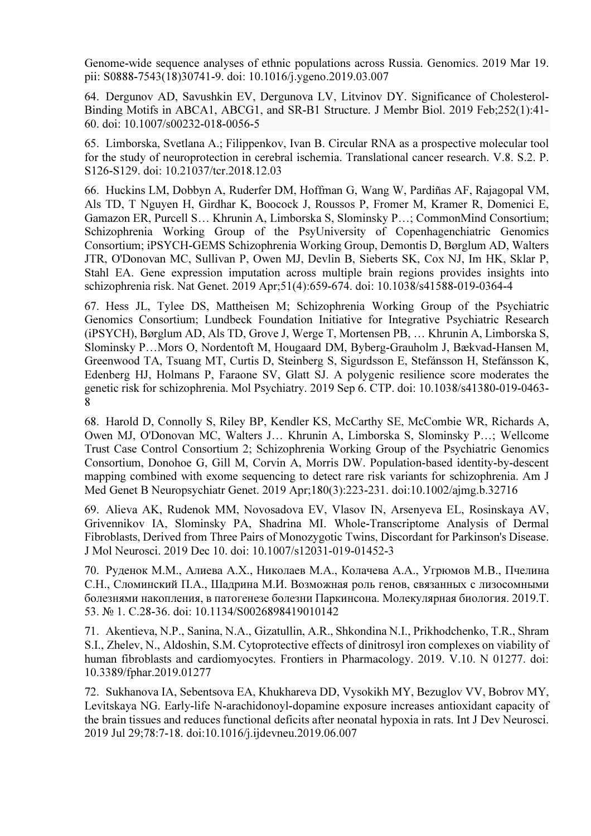Genome-wide sequence analyses of ethnic populations across Russia. Genomics. 2019 Mar 19. pii: S0888-7543(18)30741-9. doi: 10.1016/j.ygeno.2019.03.007

64. Dergunov AD, Savushkin EV, Dergunova LV, Litvinov DY. Significance of Cholesterol-Binding Motifs in ABCA1, ABCG1, and SR-B1 Structure. J Membr Biol. 2019 Feb;252(1):41- 60. doi: 10.1007/s00232-018-0056-5

65. Limborska, Svetlana A.; Filippenkov, Ivan B. Circular RNA as a prospective molecular tool for the study of neuroprotection in cerebral ischemia. Translational cancer research. V.8. S.2. P. S126-S129. doi: 10.21037/tcr.2018.12.03

66. Huckins LM, Dobbyn A, Ruderfer DM, Hoffman G, Wang W, Pardiñas AF, Rajagopal VM, Als TD, T Nguyen H, Girdhar K, Boocock J, Roussos P, Fromer M, Kramer R, Domenici E, Gamazon ER, Purcell S… Khrunin A, Limborska S, Slominsky P…; CommonMind Consortium; Schizophrenia Working Group of the PsyUniversity of Copenhagenchiatric Genomics Consortium; iPSYCH-GEMS Schizophrenia Working Group, Demontis D, Børglum AD, Walters JTR, O'Donovan MC, Sullivan P, Owen MJ, Devlin B, Sieberts SK, Cox NJ, Im HK, Sklar P, Stahl EA. Gene expression imputation across multiple brain regions provides insights into schizophrenia risk. Nat Genet. 2019 Apr;51(4):659-674. doi: 10.1038/s41588-019-0364-4

67. Hess JL, Tylee DS, Mattheisen M; Schizophrenia Working Group of the Psychiatric Genomics Consortium; Lundbeck Foundation Initiative for Integrative Psychiatric Research (iPSYCH), Børglum AD, Als TD, Grove J, Werge T, Mortensen PB, … Khrunin A, Limborska S, Slominsky P…Mors O, Nordentoft M, Hougaard DM, Byberg-Grauholm J, Bækvad-Hansen M, Greenwood TA, Tsuang MT, Curtis D, Steinberg S, Sigurdsson E, Stefánsson H, Stefánsson K, Edenberg HJ, Holmans P, Faraone SV, Glatt SJ. A polygenic resilience score moderates the genetic risk for schizophrenia. Mol Psychiatry. 2019 Sep 6. СТР. doi: 10.1038/s41380-019-0463- 8

68. Harold D, Connolly S, Riley BP, Kendler KS, McCarthy SE, McCombie WR, Richards A, Owen MJ, O'Donovan MC, Walters J… Khrunin A, Limborska S, Slominsky P…; Wellcome Trust Case Control Consortium 2; Schizophrenia Working Group of the Psychiatric Genomics Consortium, Donohoe G, Gill M, Corvin A, Morris DW. Population-based identity-by-descent mapping combined with exome sequencing to detect rare risk variants for schizophrenia. Am J Med Genet B Neuropsychiatr Genet. 2019 Apr;180(3):223-231. doi:10.1002/ajmg.b.32716

69. Alieva AK, Rudenok MM, Novosadova EV, Vlasov IN, Arsenyeva EL, Rosinskaya AV, Grivennikov IA, Slominsky PA, Shadrina MI. Whole-Transcriptome Analysis of Dermal Fibroblasts, Derived from Three Pairs of Monozygotic Twins, Discordant for Parkinson's Disease. J Mol Neurosci. 2019 Dec 10. doi: 10.1007/s12031-019-01452-3

70. Руденок М.М., Алиева А.Х., Николаев М.А., Колачева А.А., Угрюмов М.В., Пчелина С.Н., Сломинский П.А., Шадрина М.И. Возможная роль генов, связанных с лизосомными болезнями накопления, в патогенезе болезни Паркинсона. Молекулярная биология. 2019.Т. 53. № 1. С.28-36. doi: 10.1134/S0026898419010142

71. Akentieva, N.P., Sanina, N.A., Gizatullin, A.R., Shkondina N.I., Prikhodchenko, T.R., Shram S.I., Zhelev, N., Aldoshin, S.M. Cytoprotective effects of dinitrosyl iron complexes on viability of human fibroblasts and cardiomyocytes. Frontiers in Pharmacology. 2019. V.10. N 01277. doi: 10.3389/fphar.2019.01277

72. Sukhanova IA, Sebentsova EA, Khukhareva DD, Vysokikh MY, Bezuglov VV, Bobrov MY, Levitskaya NG. Early-life N-arachidonoyl-dopamine exposure increases antioxidant capacity of the brain tissues and reduces functional deficits after neonatal hypoxia in rats. Int J Dev Neurosci. 2019 Jul 29;78:7-18. doi:10.1016/j.ijdevneu.2019.06.007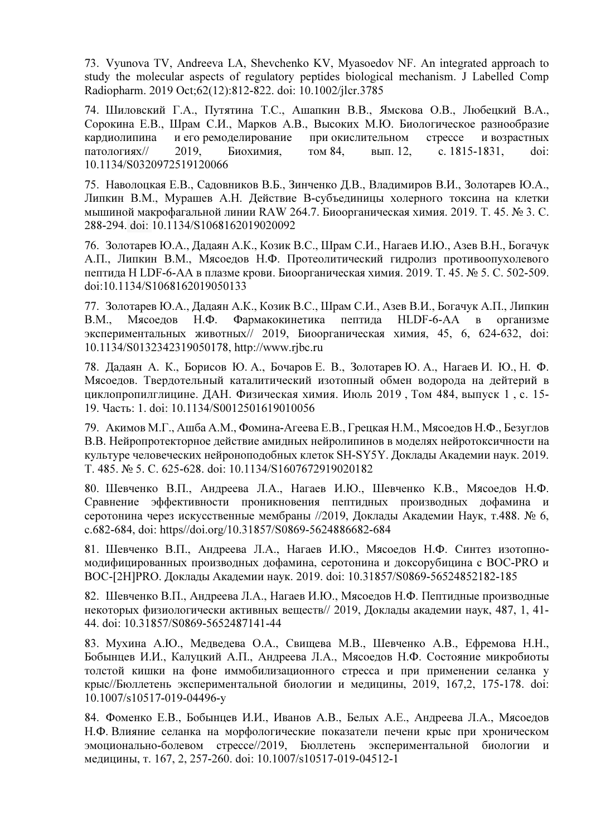73. Vyunova TV, Andreeva LA, Shevchenko KV, Myasoedov NF. An integrated approach to study the molecular aspects of regulatory peptides biological mechanism. J Labelled Comp Radiopharm. 2019 Oct;62(12):812-822. doi: 10.1002/jlcr.3785

74. Шиловский Г.А., Путятина Т.С., Ашапкин В.В., Ямскова О.В., Любецкий В.А., Сорокина Е.В., Шрам С.И., Марков А.В., Высоких М.Ю. Биологическое разнообразие кардиолипина и его ремоделирование при окислительном стрессе и возрастных патологиях// 2019, Биохимия, том 84, вып. 12, с. 1815-1831, doi: 10.1134/S0320972519120066

75. Наволоцкая Е.В., Садовников В.Б., Зинченко Д.В., Владимиров В.И., Золотарев Ю.А., Липкин В.М., Мурашев А.Н. Действие B-субъединицы холерного токсина на клетки мышиной макрофагальной линии RAW 264.7. Биоорганическая химия. 2019. Т. 45. № 3. С. 288-294. doi: 10.1134/S1068162019020092

76. Золотарев Ю.А., Дадаян А.К., Козик В.С., Шрам С.И., Нагаев И.Ю., Азев В.Н., Богачук А.П., Липкин В.М., Мясоедов Н.Ф. Протеолитический гидролиз противоопухолевого пептида H LDF-6-AA в плазме крови. Биоорганическая химия. 2019. Т. 45. № 5. С. 502-509. doi:10.1134/S1068162019050133

77. Золотарев Ю.А., Дадаян А.К., Козик В.С., Шрам С.И., Азев В.И., Богачук А.П., Липкин В.М., Мясоедов Н.Ф. Фармакокинетика пептида HLDF-6-AA в организме экспериментальных животных// 2019, Биоорганическая химия, 45, 6, 624-632, doi: 10.1134/S0132342319050178, http://www.rjbc.ru

78. Дадаян А. К., Борисов Ю. А., Бочаров Е. В., Золотарев Ю. А., Нагаев И. Ю., Н. Ф. Мясоедов. Твердотельный каталитический изотопный обмен водорода на дейтерий в циклопропилглицине. ДАН. Физическая химия. Июль 2019 , Том 484, выпуск 1 , с. 15- 19. Часть: 1. doi: 10.1134/S0012501619010056

79. Акимов М.Г., Ашба А.М., Фомина-Агеева Е.В., Грецкая Н.М., Мясоедов Н.Ф., Безуглов В.В. Нейропротекторное действие амидных нейролипинов в моделях нейротоксичности на культуре человеческих нейроноподобных клеток SH-SY5Y. Доклады Академии наук. 2019. Т. 485. № 5. С. 625-628. doi: 10.1134/S1607672919020182

80. Шевченко В.П., Андреева Л.А., Нагаев И.Ю., Шевченко К.В., Мясоедов Н.Ф. Сравнение эффективности проникновения пептидных производных дофамина и серотонина через искусственные мембраны //2019, Доклады Академии Наук, т.488. № 6, с.682-684, doi: https//doi.org/10.31857/S0869-5624886682-684

81. Шевченко В.П., Андреева Л.А., Нагаев И.Ю., Мясоедов Н.Ф. Синтез изотопномодифицированных производных дофамина, серотонина и доксорубицина с BOC-PRO и BOC-[2H]PRO. Доклады Академии наук. 2019. doi: 10.31857/S0869-56524852182-185

82. Шевченко В.П., Андреева Л.А., Нагаев И.Ю., Мясоедов Н.Ф. Пептидные производные некоторых физиологически активных веществ// 2019, Доклады академии наук, 487, 1, 41- 44. doi: 10.31857/S0869-5652487141-44

83. Мухина А.Ю., Медведева О.А., Свищева М.В., Шевченко А.В., Ефремова Н.Н., Бобынцев И.И., Калуцкий А.П., Андреева Л.А., Мясоедов Н.Ф. Состояние микробиоты толстой кишки на фоне иммобилизационного стресса и при применении селанка у крыс//Бюллетень экспериментальной биологии и медицины, 2019, 167,2, 175-178. doi: 10.1007/s10517-019-04496-y

84. Фоменко Е.В., Бобынцев И.И., Иванов А.В., Белых А.Е., Андреева Л.А., Мясоедов Н.Ф. Влияние селанка на морфологические показатели печени крыс при хроническом эмоционально-болевом стрессе//2019, Бюллетень экспериментальной биологии и медицины, т. 167, 2, 257-260. doi: 10.1007/s10517-019-04512-1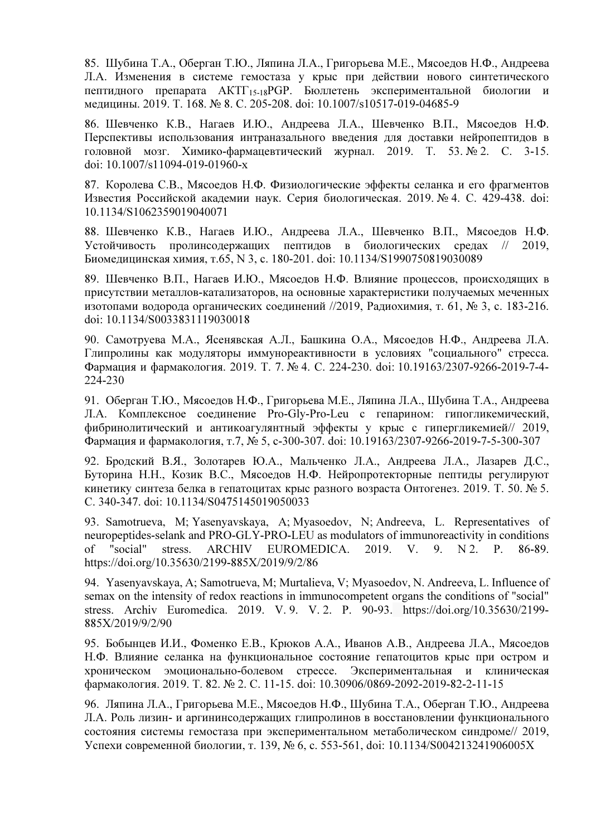85. Шубина Т.А., Оберган Т.Ю., Ляпина Л.А., Григорьева М.Е., Мясоедов Н.Ф., Андреева Л.А. Изменения в системе гемостаза у крыс при действии нового синтетического пептидного препарата АКТГ15-18PGP. Бюллетень экспериментальной биологии и медицины. 2019. Т. 168. № 8. С. 205-208. doi: 10.1007/s10517-019-04685-9

86. Шевченко К.В., Нагаев И.Ю., Андреева Л.А., Шевченко В.П., Мясоедов Н.Ф. Перспективы использования интраназального введения для доставки нейропептидов в головной мозг. Химико-фармацевтический журнал. 2019. Т. 53. № 2. С. 3-15. doi: 10.1007/s11094-019-01960-x

87. Королева С.В., Мясоедов Н.Ф. Физиологические эффекты селанка и его фрагментов Известия Российской академии наук. Серия биологическая. 2019. № 4. С. 429-438. doi: 10.1134/S1062359019040071

88. Шевченко К.В., Нагаев И.Ю., Андреева Л.А., Шевченко В.П., Мясоедов Н.Ф. Устойчивость пролинсодержащих пептидов в биологических средах // 2019, Биомедицинская химия, т.65, N 3, c. 180-201. doi: 10.1134/S1990750819030089

89. Шевченко В.П., Нагаев И.Ю., Мясоедов Н.Ф. Влияние процессов, происходящих в присутствии металлов-катализаторов, на основные характеристики получаемых меченных изотопами водорода органических соединений //2019, Радиохимия, т. 61, № 3, с. 183-216. doi: 10.1134/S0033831119030018

90. Самотруева М.А., Ясенявская А.Л., Башкина О.А., Мясоедов Н.Ф., Андреева Л.А. Глипролины как модуляторы иммунореактивности в условиях "социального" стресса. Фармация и фармакология. 2019. Т. 7. № 4. С. 224-230. doi: 10.19163/2307-9266-2019-7-4- 224-230

91. Оберган Т.Ю., Мясоедов Н.Ф., Григорьева М.Е., Ляпина Л.А., Шубина Т.А., Андреева Л.А. Комплексное соединение Pro-Gly-Pro-Leu с гепарином: гипогликемический, фибринолитический и антикоагулянтный эффекты у крыс с гипергликемией// 2019, Фармация и фармакология, т.7, № 5, с-300-307. doi: 10.19163/2307-9266-2019-7-5-300-307

92. Бродский В.Я., Золотарев Ю.А., Мальченко Л.А., Андреева Л.А., Лазарев Д.С., Буторина Н.Н., Козик В.С., Мясоедов Н.Ф. Нейропротекторные пептиды регулируют кинетику синтеза белка в гепатоцитах крыс разного возраста Онтогенез. 2019. Т. 50. № 5. С. 340-347. doi: 10.1134/S0475145019050033

93. Samotrueva, M; Yasenyavskaya, A; Myasoedov, N; Andreeva, L. Representatives of neuropeptides-selank and PRO-GLY-PRO-LEU as modulators of immunoreactivity in conditions of "social" stress. ARCHIV EUROMEDICA. 2019. V. 9. N 2. P. 86-89. https://doi.org/10.35630/2199-885X/2019/9/2/86

94. Yasenyavskaya, A; Samotrueva, M; Murtalieva, V; Myasoedov, N. Andreeva, L. Influence of semax on the intensity of redox reactions in immunocompetent organs the conditions of "social" stress. Аrchiv Еuromedica. 2019. V. 9. V. 2. P. 90-93. https://doi.org/10.35630/2199- 885X/2019/9/2/90

95. Бобынцев И.И., Фоменко Е.В., Крюков А.А., Иванов А.В., Андреева Л.А., Мясоедов Н.Ф. Влияние селанка на функциональное состояние гепатоцитов крыс при остром и хроническом эмоционально-болевом стрессе. Экспериментальная и клиническая фармакология. 2019. Т. 82. № 2. С. 11-15. doi: 10.30906/0869-2092-2019-82-2-11-15

96. Ляпина Л.А., Григорьева М.Е., Мясоедов Н.Ф., Шубина Т.А., Оберган Т.Ю., Андреева Л.А. Роль лизин- и аргининсодержащих глипролинов в восстановлении функционального состояния системы гемостаза при экспериментальном метаболическом синдроме// 2019, Успехи современной биологии, т. 139, № 6, с. 553-561, doi: 10.1134/S004213241906005X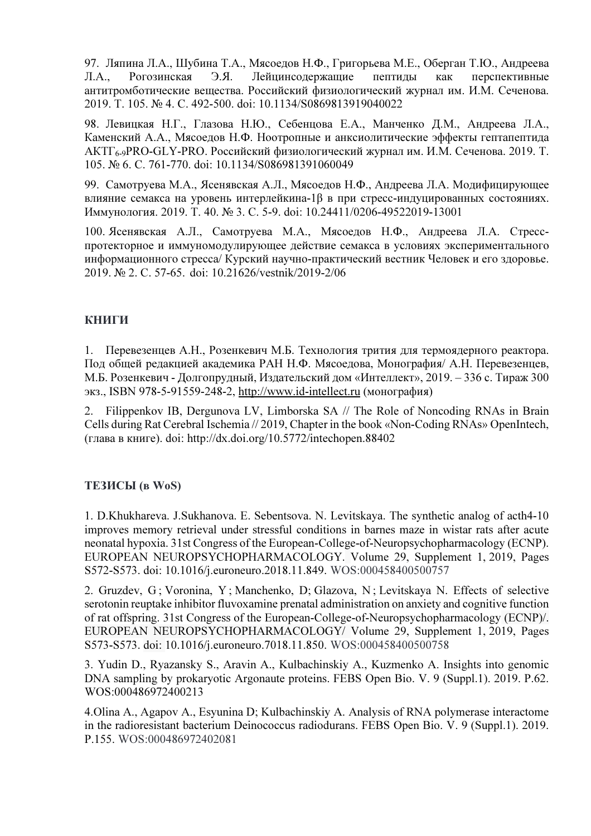97. Ляпина Л.А., Шубина Т.А., Мясоедов Н.Ф., Григорьева М.Е., Оберган Т.Ю., Андреева Л.А., Рогозинская Э.Я. Лейцинсодержащие пептиды как перспективные антитромботические вещества. Российский физиологический журнал им. И.М. Сеченова. 2019. Т. 105. № 4. С. 492-500. doi: 10.1134/S0869813919040022

98. Левицкая Н.Г., Глазова Н.Ю., Себенцова Е.А., Манченко Д.М., Андреева Л.А., Каменский А.А., Мясоедов Н.Ф. Ноотропные и анксиолитические эффекты гептапептида АКТГ6-9PRO-GLY-PRO. Российский физиологический журнал им. И.М. Сеченова. 2019. Т. 105. № 6. С. 761-770. doi: 10.1134/S086981391060049

99. Самотруева М.А., Ясенявская А.Л., Мясоедов Н.Ф., Андреева Л.А. Модифицирующее влияние семакса на уровень интерлейкина-1β в при стресс-индуцированных состояниях. Иммунология. 2019. Т. 40. № 3. С. 5-9. doi: 10.24411/0206-49522019-13001

100. Ясенявская А.Л., Самотруева М.А., Мясоедов Н.Ф., Андреева Л.А. Стресспротекторное и иммуномодулирующее действие семакса в условиях экспериментального информационного стресса/ Курский научно-практический вестник Человек и его здоровье. 2019. № 2. С. 57-65. doi: 10.21626/vestnik/2019-2/06

## КНИГИ

1. Перевезенцев А.Н., Розенкевич М.Б. Технология трития для термоядерного реактора. Под общей редакцией академика РАН Н.Ф. Мясоедова, Монография/ А.Н. Перевезенцев, М.Б. Розенкевич - Долгопрудный, Издательский дом «Интеллект», 2019. – 336 с. Тираж 300 экз., ISBN 978-5-91559-248-2, http://www.id-intellect.ru (монография)

2. Filippenkov IB, Dergunova LV, Limborska SA // The Role of Noncoding RNAs in Brain Cells during Rat Cerebral Ischemia // 2019, Chapter in the book «Non-Coding RNAs» OpenIntech, (глава в книге). doi: http://dx.doi.org/10.5772/intechopen.88402

## ТЕЗИСЫ (в WoS)

1. D.Khukhareva. J.Sukhanova. E. Sebentsova. N. Levitskaya. The synthetic analog of acth4-10 improves memory retrieval under stressful conditions in barnes maze in wistar rats after acute neonatal hypoxia. 31st Congress of the European-College-of-Neuropsychopharmacology (ECNP). EUROPEAN NEUROPSYCHOPHARMACOLOGY. Volume 29, Supplement 1, 2019, Pages S572-S573. doi: 10.1016/j.euroneuro.2018.11.849. WOS:000458400500757

2. Gruzdev, G; Voronina, Y; Manchenko, D; Glazova, N; Levitskaya N. Effects of selective serotonin reuptake inhibitor fluvoxamine prenatal administration on anxiety and cognitive function of rat offspring. 31st Congress of the European-College-of-Neuropsychopharmacology (ECNP)/. EUROPEAN NEUROPSYCHOPHARMACOLOGY/ Volume 29, Supplement 1, 2019, Pages S573-S573. doi: 10.1016/j.euroneuro.7018.11.850. WOS:000458400500758

3. Yudin D., Ryazansky S., Aravin A., Kulbachinskiy A., Kuzmenko A. Insights into genomic DNA sampling by prokaryotic Argonaute proteins. FEBS Open Bio. V. 9 (Suppl.1). 2019. P.62. WOS:000486972400213

4.Olina A., Agapov A., Esyunina D; Kulbachinskiy A. Analysis of RNA polymerase interactome in the radioresistant bacterium Deinococcus radiodurans. FEBS Open Bio. V. 9 (Suppl.1). 2019. P.155. WOS:000486972402081